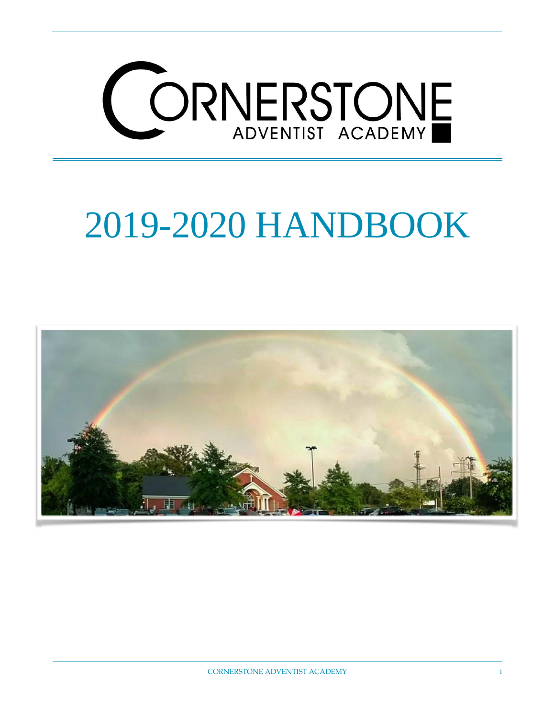

# 2019-2020 HANDBOOK

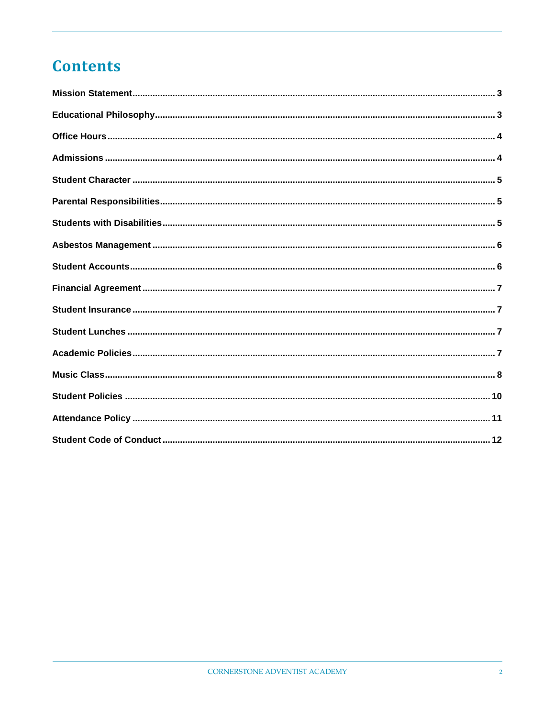## **Contents**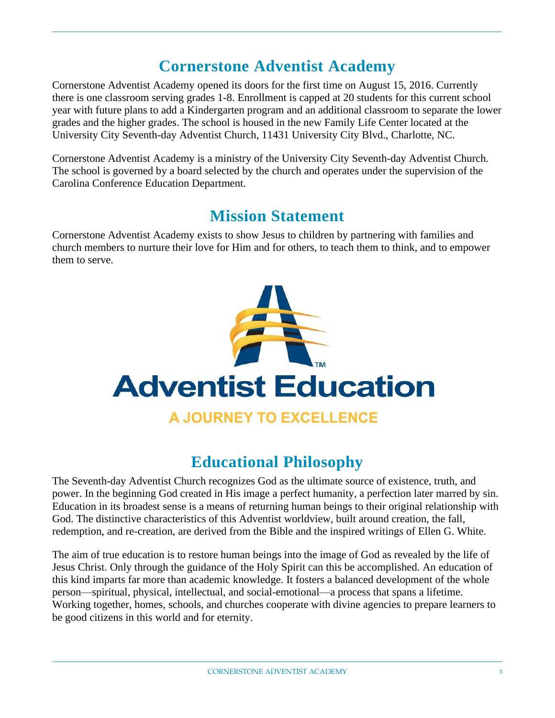## **Cornerstone Adventist Academy**

Cornerstone Adventist Academy opened its doors for the first time on August 15, 2016. Currently there is one classroom serving grades 1-8. Enrollment is capped at 20 students for this current school year with future plans to add a Kindergarten program and an additional classroom to separate the lower grades and the higher grades. The school is housed in the new Family Life Center located at the University City Seventh-day Adventist Church, 11431 University City Blvd., Charlotte, NC.

Cornerstone Adventist Academy is a ministry of the University City Seventh-day Adventist Church. The school is governed by a board selected by the church and operates under the supervision of the Carolina Conference Education Department.

## **Mission Statement**

<span id="page-2-0"></span>Cornerstone Adventist Academy exists to show Jesus to children by partnering with families and church members to nurture their love for Him and for others, to teach them to think, and to empower them to serve.



## **Educational Philosophy**

<span id="page-2-1"></span>The Seventh-day Adventist Church recognizes God as the ultimate source of existence, truth, and power. In the beginning God created in His image a perfect humanity, a perfection later marred by sin. Education in its broadest sense is a means of returning human beings to their original relationship with God. The distinctive characteristics of this Adventist worldview, built around creation, the fall, redemption, and re-creation, are derived from the Bible and the inspired writings of Ellen G. White.

The aim of true education is to restore human beings into the image of God as revealed by the life of Jesus Christ. Only through the guidance of the Holy Spirit can this be accomplished. An education of this kind imparts far more than academic knowledge. It fosters a balanced development of the whole person—spiritual, physical, intellectual, and social-emotional—a process that spans a lifetime. Working together, homes, schools, and churches cooperate with divine agencies to prepare learners to be good citizens in this world and for eternity.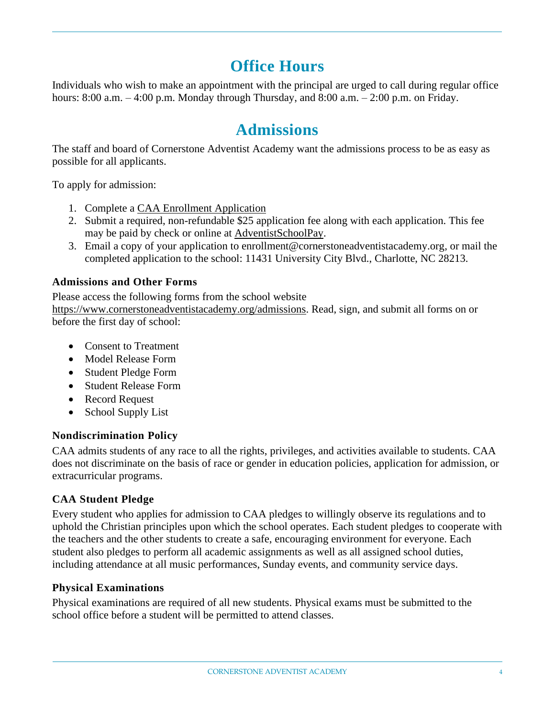## **Office Hours**

<span id="page-3-0"></span>Individuals who wish to make an appointment with the principal are urged to call during regular office hours:  $8:00$  a.m.  $-4:00$  p.m. Monday through Thursday, and  $8:00$  a.m.  $-2:00$  p.m. on Friday.

## **Admissions**

<span id="page-3-1"></span>The staff and board of Cornerstone Adventist Academy want the admissions process to be as easy as possible for all applicants.

To apply for admission:

- 1. Complete a CAA Enrollment [Application](https://www.cornerstoneadventistacademy.org/admissions)
- 2. Submit a required, non-refundable \$25 application fee along with each application. This fee may be paid by check or online at [AdventistSchoolPay.](https://www.adventistschoolpay.org/login/Login.aspx)
- 3. Email a copy of your application to [enrollment@cornerstoneadventistacademy.org,](mailto:enrollment@cornerstoneadventistacademy.org) or mail the completed application to the school: 11431 University City Blvd., Charlotte, NC 28213.

#### **Admissions and Other Forms**

Please access the following forms from the school website [https://www.cornerstoneadventistacademy.org/admissions.](https://www.cornerstoneadventistacademy.org/admissions) Read, sign, and submit all forms on or before the first day of school:

- Consent to Treatment
- Model Release Form
- Student Pledge Form
- Student Release Form
- Record Request
- School Supply List

#### **Nondiscrimination Policy**

CAA admits students of any race to all the rights, privileges, and activities available to students. CAA does not discriminate on the basis of race or gender in education policies, application for admission, or extracurricular programs.

#### **CAA Student Pledge**

Every student who applies for admission to CAA pledges to willingly observe its regulations and to uphold the Christian principles upon which the school operates. Each student pledges to cooperate with the teachers and the other students to create a safe, encouraging environment for everyone. Each student also pledges to perform all academic assignments as well as all assigned school duties, including attendance at all music performances, Sunday events, and community service days.

#### **Physical Examinations**

Physical examinations are required of all new students. Physical exams must be submitted to the school office before a student will be permitted to attend classes.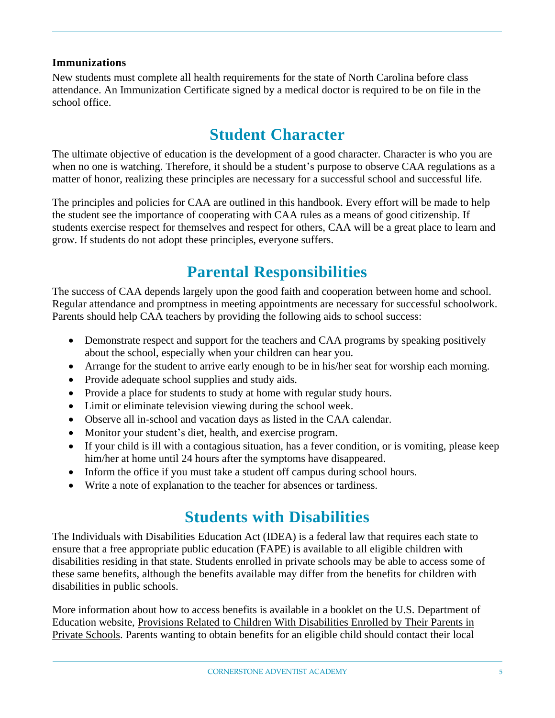#### **Immunizations**

New students must complete all health requirements for the state of North Carolina before class attendance. An Immunization Certificate signed by a medical doctor is required to be on file in the school office.

# **Student Character**

<span id="page-4-0"></span>The ultimate objective of education is the development of a good character. Character is who you are when no one is watching. Therefore, it should be a student's purpose to observe CAA regulations as a matter of honor, realizing these principles are necessary for a successful school and successful life.

The principles and policies for CAA are outlined in this handbook. Every effort will be made to help the student see the importance of cooperating with CAA rules as a means of good citizenship. If students exercise respect for themselves and respect for others, CAA will be a great place to learn and grow. If students do not adopt these principles, everyone suffers.

## **Parental Responsibilities**

<span id="page-4-1"></span>The success of CAA depends largely upon the good faith and cooperation between home and school. Regular attendance and promptness in meeting appointments are necessary for successful schoolwork. Parents should help CAA teachers by providing the following aids to school success:

- Demonstrate respect and support for the teachers and CAA programs by speaking positively about the school, especially when your children can hear you.
- Arrange for the student to arrive early enough to be in his/her seat for worship each morning.
- Provide adequate school supplies and study aids.
- Provide a place for students to study at home with regular study hours.
- Limit or eliminate television viewing during the school week.
- Observe all in-school and vacation days as listed in the CAA calendar.
- Monitor your student's diet, health, and exercise program.
- If your child is ill with a contagious situation, has a fever condition, or is vomiting, please keep him/her at home until 24 hours after the symptoms have disappeared.
- Inform the office if you must take a student off campus during school hours.
- <span id="page-4-2"></span>• Write a note of explanation to the teacher for absences or tardiness.

## **Students with Disabilities**

The Individuals with Disabilities Education Act (IDEA) is a federal law that requires each state to ensure that a free appropriate public education (FAPE) is available to all eligible children with disabilities residing in that state. Students enrolled in private schools may be able to access some of these same benefits, although the benefits available may differ from the benefits for children with disabilities in public schools.

More information about how to access benefits is available in a booklet on the U.S. Department of Education website, Provisions Related to Children With [Disabilities](https://www2.ed.gov/admins/lead/speced/privateschools/idea.pdf) Enrolled by Their Parents in Private [Schools.](https://www2.ed.gov/admins/lead/speced/privateschools/idea.pdf) Parents wanting to obtain benefits for an eligible child should contact their local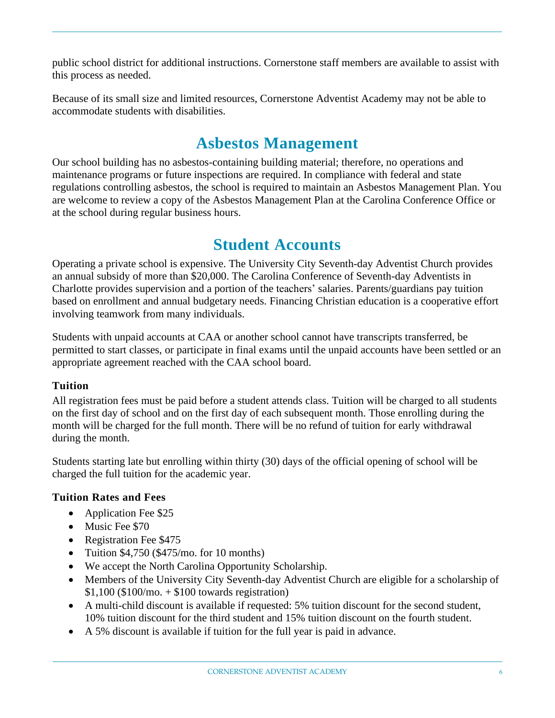public school district for additional instructions. Cornerstone staff members are available to assist with this process as needed.

Because of its small size and limited resources, Cornerstone Adventist Academy may not be able to accommodate students with disabilities.

## **Asbestos Management**

<span id="page-5-0"></span>Our school building has no asbestos-containing building material; therefore, no operations and maintenance programs or future inspections are required. In compliance with federal and state regulations controlling asbestos, the school is required to maintain an Asbestos Management Plan. You are welcome to review a copy of the Asbestos Management Plan at the Carolina Conference Office or at the school during regular business hours.

## **Student Accounts**

<span id="page-5-1"></span>Operating a private school is expensive. The University City Seventh-day Adventist Church provides an annual subsidy of more than \$20,000. The Carolina Conference of Seventh-day Adventists in Charlotte provides supervision and a portion of the teachers' salaries. Parents/guardians pay tuition based on enrollment and annual budgetary needs. Financing Christian education is a cooperative effort involving teamwork from many individuals.

Students with unpaid accounts at CAA or another school cannot have transcripts transferred, be permitted to start classes, or participate in final exams until the unpaid accounts have been settled or an appropriate agreement reached with the CAA school board.

#### **Tuition**

All registration fees must be paid before a student attends class. Tuition will be charged to all students on the first day of school and on the first day of each subsequent month. Those enrolling during the month will be charged for the full month. There will be no refund of tuition for early withdrawal during the month.

Students starting late but enrolling within thirty (30) days of the official opening of school will be charged the full tuition for the academic year.

#### **Tuition Rates and Fees**

- Application Fee \$25
- Music Fee \$70
- Registration Fee \$475
- Tuition  $$4,750$  (\$475/mo. for 10 months)
- We accept the North Carolina Opportunity Scholarship.
- Members of the University City Seventh-day Adventist Church are eligible for a scholarship of  $$1,100$  (\$100/mo. + \$100 towards registration)
- A multi-child discount is available if requested: 5% tuition discount for the second student, 10% tuition discount for the third student and 15% tuition discount on the fourth student.
- A 5% discount is available if tuition for the full year is paid in advance.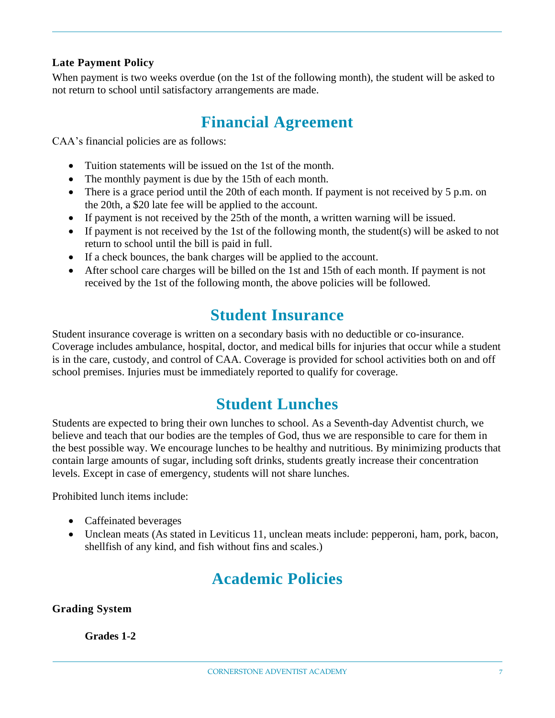#### **Late Payment Policy**

When payment is two weeks overdue (on the 1st of the following month), the student will be asked to not return to school until satisfactory arrangements are made.

## **Financial Agreement**

<span id="page-6-0"></span>CAA's financial policies are as follows:

- Tuition statements will be issued on the 1st of the month.
- The monthly payment is due by the 15th of each month.
- There is a grace period until the 20th of each month. If payment is not received by 5 p.m. on the 20th, a \$20 late fee will be applied to the account.
- If payment is not received by the 25th of the month, a written warning will be issued.
- If payment is not received by the 1st of the following month, the student(s) will be asked to not return to school until the bill is paid in full.
- If a check bounces, the bank charges will be applied to the account.
- After school care charges will be billed on the 1st and 15th of each month. If payment is not received by the 1st of the following month, the above policies will be followed.

## **Student Insurance**

<span id="page-6-1"></span>Student insurance coverage is written on a secondary basis with no deductible or co-insurance. Coverage includes ambulance, hospital, doctor, and medical bills for injuries that occur while a student is in the care, custody, and control of CAA. Coverage is provided for school activities both on and off school premises. Injuries must be immediately reported to qualify for coverage.

## **Student Lunches**

<span id="page-6-2"></span>Students are expected to bring their own lunches to school. As a Seventh-day Adventist church, we believe and teach that our bodies are the temples of God, thus we are responsible to care for them in the best possible way. We encourage lunches to be healthy and nutritious. By minimizing products that contain large amounts of sugar, including soft drinks, students greatly increase their concentration levels. Except in case of emergency, students will not share lunches.

Prohibited lunch items include:

- Caffeinated beverages
- <span id="page-6-3"></span>• Unclean meats (As stated in Leviticus 11, unclean meats include: pepperoni, ham, pork, bacon, shellfish of any kind, and fish without fins and scales.)

## **Academic Policies**

**Grading System**

#### **Grades 1-2**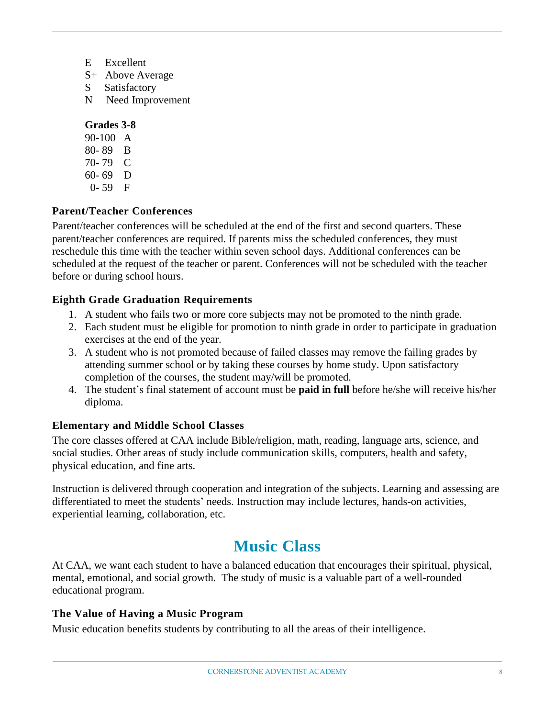- E Excellent
- S+ Above Average
- S Satisfactory
- N Need Improvement

#### **Grades 3-8**

90-100 A 80- 89 B 70- 79 C 60- 69 D 0- 59 F

#### **Parent/Teacher Conferences**

Parent/teacher conferences will be scheduled at the end of the first and second quarters. These parent/teacher conferences are required. If parents miss the scheduled conferences, they must reschedule this time with the teacher within seven school days. Additional conferences can be scheduled at the request of the teacher or parent. Conferences will not be scheduled with the teacher before or during school hours.

#### **Eighth Grade Graduation Requirements**

- 1. A student who fails two or more core subjects may not be promoted to the ninth grade.
- 2. Each student must be eligible for promotion to ninth grade in order to participate in graduation exercises at the end of the year.
- 3. A student who is not promoted because of failed classes may remove the failing grades by attending summer school or by taking these courses by home study. Upon satisfactory completion of the courses, the student may/will be promoted.
- 4. The student's final statement of account must be **paid in full** before he/she will receive his/her diploma.

#### **Elementary and Middle School Classes**

The core classes offered at CAA include Bible/religion, math, reading, language arts, science, and social studies. Other areas of study include communication skills, computers, health and safety, physical education, and fine arts.

Instruction is delivered through cooperation and integration of the subjects. Learning and assessing are differentiated to meet the students' needs. Instruction may include lectures, hands-on activities, experiential learning, collaboration, etc.

## **Music Class**

<span id="page-7-0"></span>At CAA, we want each student to have a balanced education that encourages their spiritual, physical, mental, emotional, and social growth. The study of music is a valuable part of a well-rounded educational program.

#### **The Value of Having a Music Program**

Music education benefits students by contributing to all the areas of their intelligence.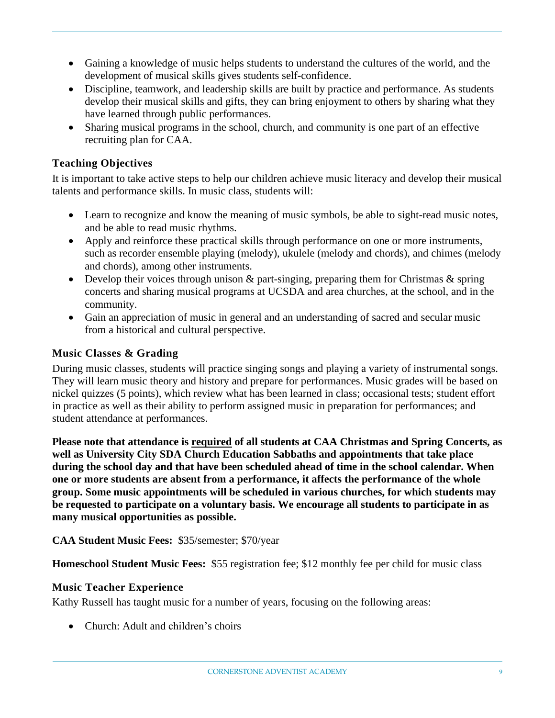- Gaining a knowledge of music helps students to understand the cultures of the world, and the development of musical skills gives students self-confidence.
- Discipline, teamwork, and leadership skills are built by practice and performance. As students develop their musical skills and gifts, they can bring enjoyment to others by sharing what they have learned through public performances.
- Sharing musical programs in the school, church, and community is one part of an effective recruiting plan for CAA.

#### **Teaching Objectives**

It is important to take active steps to help our children achieve music literacy and develop their musical talents and performance skills. In music class, students will:

- Learn to recognize and know the meaning of music symbols, be able to sight-read music notes, and be able to read music rhythms.
- Apply and reinforce these practical skills through performance on one or more instruments, such as recorder ensemble playing (melody), ukulele (melody and chords), and chimes (melody and chords), among other instruments.
- Develop their voices through unison & part-singing, preparing them for Christmas & spring concerts and sharing musical programs at UCSDA and area churches, at the school, and in the community.
- Gain an appreciation of music in general and an understanding of sacred and secular music from a historical and cultural perspective.

#### **Music Classes & Grading**

During music classes, students will practice singing songs and playing a variety of instrumental songs. They will learn music theory and history and prepare for performances. Music grades will be based on nickel quizzes (5 points), which review what has been learned in class; occasional tests; student effort in practice as well as their ability to perform assigned music in preparation for performances; and student attendance at performances.

**Please note that attendance is required of all students at CAA Christmas and Spring Concerts, as well as University City SDA Church Education Sabbaths and appointments that take place during the school day and that have been scheduled ahead of time in the school calendar. When one or more students are absent from a performance, it affects the performance of the whole group. Some music appointments will be scheduled in various churches, for which students may be requested to participate on a voluntary basis. We encourage all students to participate in as many musical opportunities as possible.**

**CAA Student Music Fees:** \$35/semester; \$70/year

**Homeschool Student Music Fees:** \$55 registration fee; \$12 monthly fee per child for music class

#### **Music Teacher Experience**

Kathy Russell has taught music for a number of years, focusing on the following areas:

• Church: Adult and children's choirs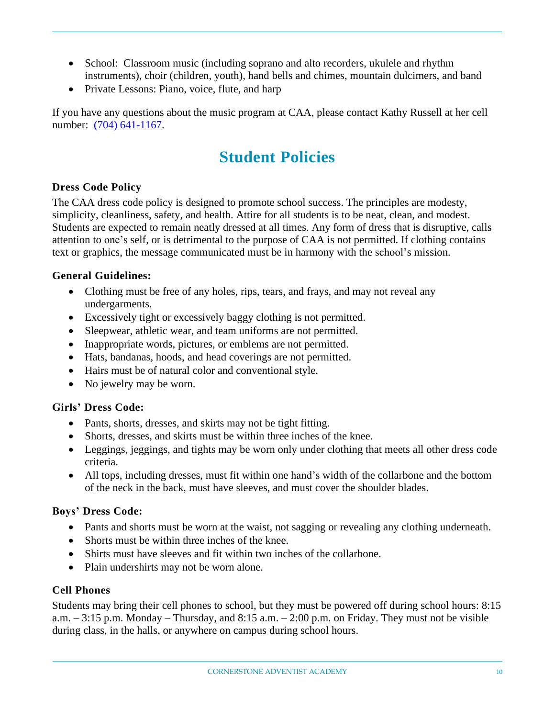- School: Classroom music (including soprano and alto recorders, ukulele and rhythm instruments), choir (children, youth), hand bells and chimes, mountain dulcimers, and band
- Private Lessons: Piano, voice, flute, and harp

<span id="page-9-0"></span>If you have any questions about the music program at CAA, please contact Kathy Russell at her cell number: (704) 641-1167.

# **Student Policies**

#### **Dress Code Policy**

The CAA dress code policy is designed to promote school success. The principles are modesty, simplicity, cleanliness, safety, and health. Attire for all students is to be neat, clean, and modest. Students are expected to remain neatly dressed at all times. Any form of dress that is disruptive, calls attention to one's self, or is detrimental to the purpose of CAA is not permitted. If clothing contains text or graphics, the message communicated must be in harmony with the school's mission.

#### **General Guidelines:**

- Clothing must be free of any holes, rips, tears, and frays, and may not reveal any undergarments.
- Excessively tight or excessively baggy clothing is not permitted.
- Sleepwear, athletic wear, and team uniforms are not permitted.
- Inappropriate words, pictures, or emblems are not permitted.
- Hats, bandanas, hoods, and head coverings are not permitted.
- Hairs must be of natural color and conventional style.
- No jewelry may be worn.

#### **Girls' Dress Code:**

- Pants, shorts, dresses, and skirts may not be tight fitting.
- Shorts, dresses, and skirts must be within three inches of the knee.
- Leggings, jeggings, and tights may be worn only under clothing that meets all other dress code criteria.
- All tops, including dresses, must fit within one hand's width of the collarbone and the bottom of the neck in the back, must have sleeves, and must cover the shoulder blades.

#### **Boys' Dress Code:**

- Pants and shorts must be worn at the waist, not sagging or revealing any clothing underneath.
- Shorts must be within three inches of the knee.
- Shirts must have sleeves and fit within two inches of the collarbone.
- Plain undershirts may not be worn alone.

#### **Cell Phones**

Students may bring their cell phones to school, but they must be powered off during school hours: 8:15 a.m.  $-3:15$  p.m. Monday – Thursday, and  $8:15$  a.m.  $-2:00$  p.m. on Friday. They must not be visible during class, in the halls, or anywhere on campus during school hours.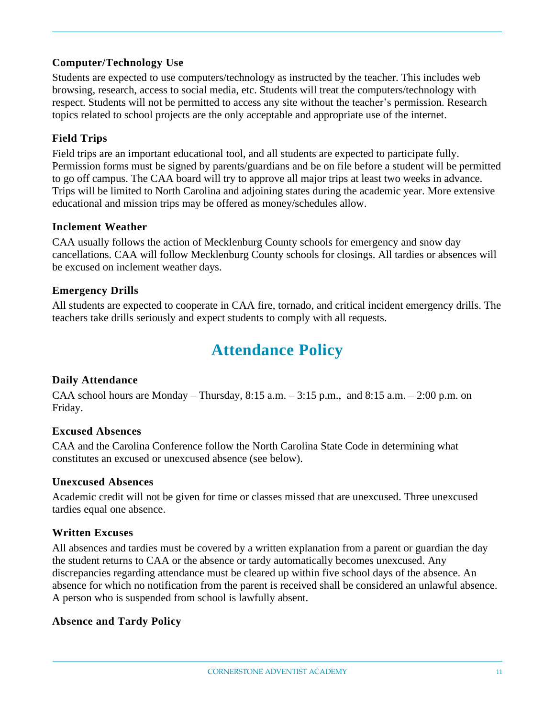#### **Computer/Technology Use**

Students are expected to use computers/technology as instructed by the teacher. This includes web browsing, research, access to social media, etc. Students will treat the computers/technology with respect. Students will not be permitted to access any site without the teacher's permission. Research topics related to school projects are the only acceptable and appropriate use of the internet.

#### **Field Trips**

Field trips are an important educational tool, and all students are expected to participate fully. Permission forms must be signed by parents/guardians and be on file before a student will be permitted to go off campus. The CAA board will try to approve all major trips at least two weeks in advance. Trips will be limited to North Carolina and adjoining states during the academic year. More extensive educational and mission trips may be offered as money/schedules allow.

#### **Inclement Weather**

CAA usually follows the action of Mecklenburg County schools for emergency and snow day cancellations. CAA will follow Mecklenburg County schools for closings. All tardies or absences will be excused on inclement weather days.

#### **Emergency Drills**

<span id="page-10-0"></span>All students are expected to cooperate in CAA fire, tornado, and critical incident emergency drills. The teachers take drills seriously and expect students to comply with all requests.

## **Attendance Policy**

#### **Daily Attendance**

CAA school hours are Monday – Thursday,  $8:15$  a.m.  $-3:15$  p.m., and  $8:15$  a.m.  $-2:00$  p.m. on Friday.

#### **Excused Absences**

CAA and the Carolina Conference follow the North Carolina State Code in determining what constitutes an excused or unexcused absence (see below).

#### **Unexcused Absences**

Academic credit will not be given for time or classes missed that are unexcused. Three unexcused tardies equal one absence.

#### **Written Excuses**

All absences and tardies must be covered by a written explanation from a parent or guardian the day the student returns to CAA or the absence or tardy automatically becomes unexcused. Any discrepancies regarding attendance must be cleared up within five school days of the absence. An absence for which no notification from the parent is received shall be considered an unlawful absence. A person who is suspended from school is lawfully absent.

#### **Absence and Tardy Policy**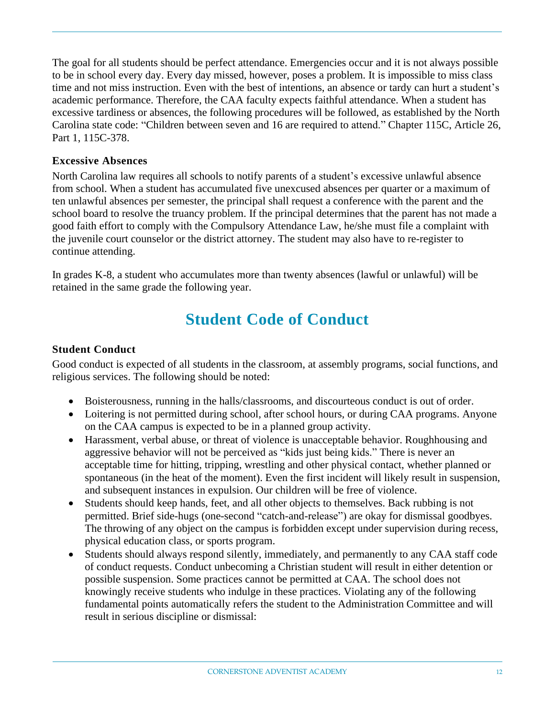The goal for all students should be perfect attendance. Emergencies occur and it is not always possible to be in school every day. Every day missed, however, poses a problem. It is impossible to miss class time and not miss instruction. Even with the best of intentions, an absence or tardy can hurt a student's academic performance. Therefore, the CAA faculty expects faithful attendance. When a student has excessive tardiness or absences, the following procedures will be followed, as established by the North Carolina state code: "Children between seven and 16 are required to attend." Chapter 115C, Article 26, Part 1, 115C-378.

#### **Excessive Absences**

North Carolina law requires all schools to notify parents of a student's excessive unlawful absence from school. When a student has accumulated five unexcused absences per quarter or a maximum of ten unlawful absences per semester, the principal shall request a conference with the parent and the school board to resolve the truancy problem. If the principal determines that the parent has not made a good faith effort to comply with the Compulsory Attendance Law, he/she must file a complaint with the juvenile court counselor or the district attorney. The student may also have to re-register to continue attending.

<span id="page-11-0"></span>In grades K-8, a student who accumulates more than twenty absences (lawful or unlawful) will be retained in the same grade the following year.

## **Student Code of Conduct**

#### **Student Conduct**

Good conduct is expected of all students in the classroom, at assembly programs, social functions, and religious services. The following should be noted:

- Boisterousness, running in the halls/classrooms, and discourteous conduct is out of order.
- Loitering is not permitted during school, after school hours, or during CAA programs. Anyone on the CAA campus is expected to be in a planned group activity.
- Harassment, verbal abuse, or threat of violence is unacceptable behavior. Roughhousing and aggressive behavior will not be perceived as "kids just being kids." There is never an acceptable time for hitting, tripping, wrestling and other physical contact, whether planned or spontaneous (in the heat of the moment). Even the first incident will likely result in suspension, and subsequent instances in expulsion. Our children will be free of violence.
- Students should keep hands, feet, and all other objects to themselves. Back rubbing is not permitted. Brief side-hugs (one-second "catch-and-release") are okay for dismissal goodbyes. The throwing of any object on the campus is forbidden except under supervision during recess, physical education class, or sports program.
- Students should always respond silently, immediately, and permanently to any CAA staff code of conduct requests. Conduct unbecoming a Christian student will result in either detention or possible suspension. Some practices cannot be permitted at CAA. The school does not knowingly receive students who indulge in these practices. Violating any of the following fundamental points automatically refers the student to the Administration Committee and will result in serious discipline or dismissal: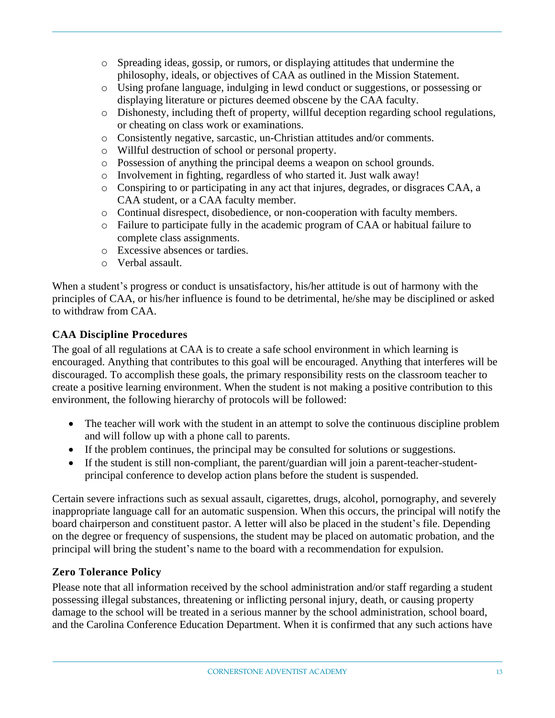- o Spreading ideas, gossip, or rumors, or displaying attitudes that undermine the philosophy, ideals, or objectives of CAA as outlined in the Mission Statement.
- o Using profane language, indulging in lewd conduct or suggestions, or possessing or displaying literature or pictures deemed obscene by the CAA faculty.
- o Dishonesty, including theft of property, willful deception regarding school regulations, or cheating on class work or examinations.
- o Consistently negative, sarcastic, un-Christian attitudes and/or comments.
- o Willful destruction of school or personal property.
- o Possession of anything the principal deems a weapon on school grounds.
- o Involvement in fighting, regardless of who started it. Just walk away!
- o Conspiring to or participating in any act that injures, degrades, or disgraces CAA, a CAA student, or a CAA faculty member.
- o Continual disrespect, disobedience, or non-cooperation with faculty members.
- o Failure to participate fully in the academic program of CAA or habitual failure to complete class assignments.
- o Excessive absences or tardies.
- o Verbal assault.

When a student's progress or conduct is unsatisfactory, his/her attitude is out of harmony with the principles of CAA, or his/her influence is found to be detrimental, he/she may be disciplined or asked to withdraw from CAA.

#### **CAA Discipline Procedures**

The goal of all regulations at CAA is to create a safe school environment in which learning is encouraged. Anything that contributes to this goal will be encouraged. Anything that interferes will be discouraged. To accomplish these goals, the primary responsibility rests on the classroom teacher to create a positive learning environment. When the student is not making a positive contribution to this environment, the following hierarchy of protocols will be followed:

- The teacher will work with the student in an attempt to solve the continuous discipline problem and will follow up with a phone call to parents.
- If the problem continues, the principal may be consulted for solutions or suggestions.
- If the student is still non-compliant, the parent/guardian will join a parent-teacher-studentprincipal conference to develop action plans before the student is suspended.

Certain severe infractions such as sexual assault, cigarettes, drugs, alcohol, pornography, and severely inappropriate language call for an automatic suspension. When this occurs, the principal will notify the board chairperson and constituent pastor. A letter will also be placed in the student's file. Depending on the degree or frequency of suspensions, the student may be placed on automatic probation, and the principal will bring the student's name to the board with a recommendation for expulsion.

#### **Zero Tolerance Policy**

Please note that all information received by the school administration and/or staff regarding a student possessing illegal substances, threatening or inflicting personal injury, death, or causing property damage to the school will be treated in a serious manner by the school administration, school board, and the Carolina Conference Education Department. When it is confirmed that any such actions have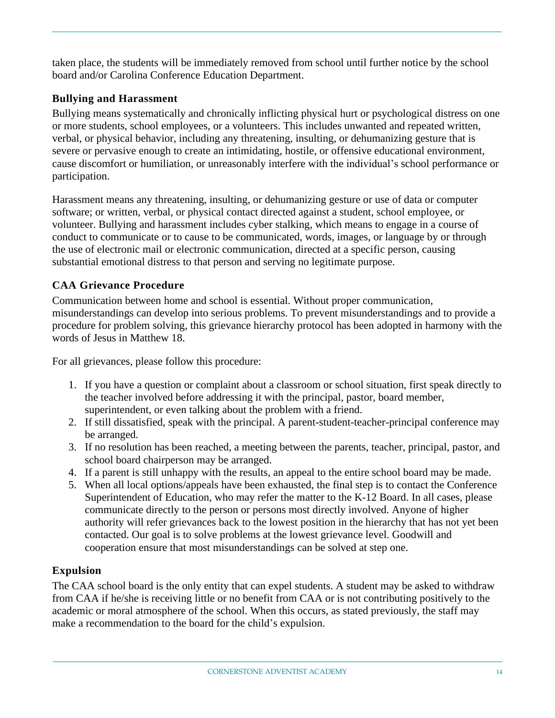taken place, the students will be immediately removed from school until further notice by the school board and/or Carolina Conference Education Department.

#### **Bullying and Harassment**

Bullying means systematically and chronically inflicting physical hurt or psychological distress on one or more students, school employees, or a volunteers. This includes unwanted and repeated written, verbal, or physical behavior, including any threatening, insulting, or dehumanizing gesture that is severe or pervasive enough to create an intimidating, hostile, or offensive educational environment, cause discomfort or humiliation, or unreasonably interfere with the individual's school performance or participation.

Harassment means any threatening, insulting, or dehumanizing gesture or use of data or computer software; or written, verbal, or physical contact directed against a student, school employee, or volunteer. Bullying and harassment includes cyber stalking, which means to engage in a course of conduct to communicate or to cause to be communicated, words, images, or language by or through the use of electronic mail or electronic communication, directed at a specific person, causing substantial emotional distress to that person and serving no legitimate purpose.

#### **CAA Grievance Procedure**

Communication between home and school is essential. Without proper communication, misunderstandings can develop into serious problems. To prevent misunderstandings and to provide a procedure for problem solving, this grievance hierarchy protocol has been adopted in harmony with the words of Jesus in Matthew 18.

For all grievances, please follow this procedure:

- 1. If you have a question or complaint about a classroom or school situation, first speak directly to the teacher involved before addressing it with the principal, pastor, board member, superintendent, or even talking about the problem with a friend.
- 2. If still dissatisfied, speak with the principal. A parent-student-teacher-principal conference may be arranged.
- 3. If no resolution has been reached, a meeting between the parents, teacher, principal, pastor, and school board chairperson may be arranged.
- 4. If a parent is still unhappy with the results, an appeal to the entire school board may be made.
- 5. When all local options/appeals have been exhausted, the final step is to contact the Conference Superintendent of Education, who may refer the matter to the K-12 Board. In all cases, please communicate directly to the person or persons most directly involved. Anyone of higher authority will refer grievances back to the lowest position in the hierarchy that has not yet been contacted. Our goal is to solve problems at the lowest grievance level. Goodwill and cooperation ensure that most misunderstandings can be solved at step one.

#### **Expulsion**

The CAA school board is the only entity that can expel students. A student may be asked to withdraw from CAA if he/she is receiving little or no benefit from CAA or is not contributing positively to the academic or moral atmosphere of the school. When this occurs, as stated previously, the staff may make a recommendation to the board for the child's expulsion.